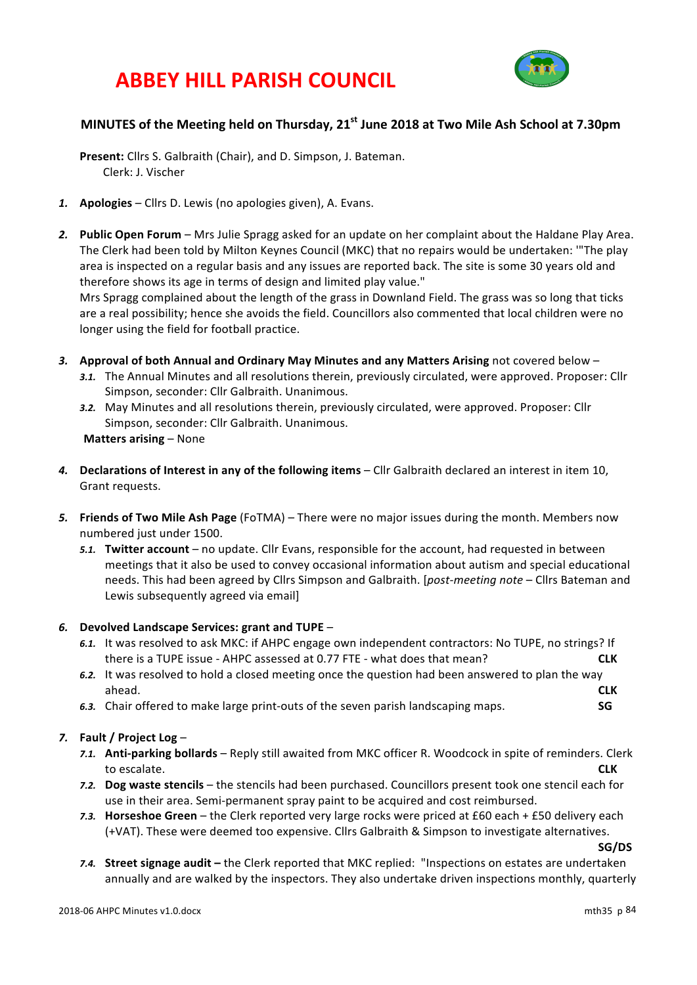# **ABBEY HILL PARISH COUNCIL**



# **MINUTES** of the Meeting held on Thursday, 21<sup>st</sup> June 2018 at Two Mile Ash School at 7.30pm

Present: Cllrs S. Galbraith (Chair), and D. Simpson, J. Bateman. Clerk: J. Vischer

- *1.* **Apologies** Cllrs D. Lewis (no apologies given), A. Evans.
- 2. **Public Open Forum** Mrs Julie Spragg asked for an update on her complaint about the Haldane Play Area. The Clerk had been told by Milton Keynes Council (MKC) that no repairs would be undertaken: "The play area is inspected on a regular basis and any issues are reported back. The site is some 30 years old and therefore shows its age in terms of design and limited play value."

Mrs Spragg complained about the length of the grass in Downland Field. The grass was so long that ticks are a real possibility; hence she avoids the field. Councillors also commented that local children were no longer using the field for football practice.

- 3. Approval of both Annual and Ordinary May Minutes and any Matters Arising not covered below
	- 3.1. The Annual Minutes and all resolutions therein, previously circulated, were approved. Proposer: Cllr Simpson, seconder: Cllr Galbraith. Unanimous.
	- 3.2. May Minutes and all resolutions therein, previously circulated, were approved. Proposer: Cllr Simpson, seconder: Cllr Galbraith. Unanimous. **Matters arising – None**
- 4. **Declarations of Interest in any of the following items** Cllr Galbraith declared an interest in item 10, Grant requests.
- 5. Friends of Two Mile Ash Page (FoTMA) There were no major issues during the month. Members now numbered just under 1500.
	- 5.1. **Twitter account** no update. Cllr Evans, responsible for the account, had requested in between meetings that it also be used to convey occasional information about autism and special educational needs. This had been agreed by Cllrs Simpson and Galbraith. [*post-meeting note* – Cllrs Bateman and Lewis subsequently agreed via email]

### *6.* **Devolved Landscape Services: grant and TUPE** –

- 6.1. It was resolved to ask MKC: if AHPC engage own independent contractors: No TUPE, no strings? If there is a TUPE issue - AHPC assessed at 0.77 FTE - what does that mean? **CLK**
- 6.2. It was resolved to hold a closed meeting once the question had been answered to plan the way ahead. **CLK**
- **6.3.** Chair offered to make large print-outs of the seven parish landscaping maps. **SG**

### *7.* **Fault / Project Log** –

- 7.1. **Anti-parking bollards** Reply still awaited from MKC officer R. Woodcock in spite of reminders. Clerk to escalate. **CLK**
- 7.2. Dog waste stencils the stencils had been purchased. Councillors present took one stencil each for use in their area. Semi-permanent spray paint to be acquired and cost reimbursed.
- *7.3.* **Horseshoe Green** the Clerk reported very large rocks were priced at £60 each + £50 delivery each (+VAT). These were deemed too expensive. Cllrs Galbraith & Simpson to investigate alternatives.

**SG/DS**

7.4. Street signage audit - the Clerk reported that MKC replied: "Inspections on estates are undertaken annually and are walked by the inspectors. They also undertake driven inspections monthly, quarterly